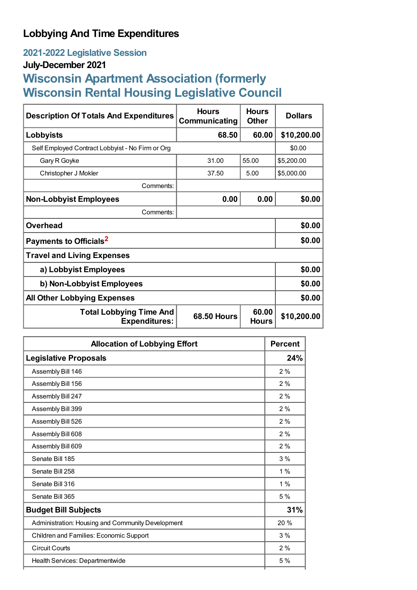# **Lobbying And Time Expenditures**

## **2021-2022 Legislative Session**

## **July-December 2021**

# **Wisconsin Apartment Association (formerly Wisconsin Rental Housing Legislative Council**

| <b>Description Of Totals And Expenditures</b>          | <b>Hours</b><br>Communicating | <b>Hours</b><br><b>Other</b> | <b>Dollars</b> |
|--------------------------------------------------------|-------------------------------|------------------------------|----------------|
| Lobbyists                                              | 68.50                         | 60.00                        | \$10,200.00    |
| Self Employed Contract Lobbyist - No Firm or Org       |                               |                              | \$0.00         |
| Gary R Goyke                                           | 31.00                         | 55.00                        | \$5,200.00     |
| Christopher J Mokler                                   | 37.50                         | 5.00                         | \$5,000.00     |
| Comments:                                              |                               |                              |                |
| <b>Non-Lobbyist Employees</b>                          | 0.00                          | 0.00                         | \$0.00         |
| Comments:                                              |                               |                              |                |
| <b>Overhead</b>                                        |                               |                              | \$0.00         |
| Payments to Officials <sup>2</sup>                     |                               |                              | \$0.00         |
| <b>Travel and Living Expenses</b>                      |                               |                              |                |
| a) Lobbyist Employees                                  | \$0.00                        |                              |                |
| b) Non-Lobbyist Employees                              |                               |                              | \$0.00         |
| <b>All Other Lobbying Expenses</b>                     |                               |                              | \$0.00         |
| <b>Total Lobbying Time And</b><br><b>Expenditures:</b> | <b>68.50 Hours</b>            | 60.00<br><b>Hours</b>        | \$10,200.00    |

| <b>Allocation of Lobbying Effort</b>              | <b>Percent</b> |
|---------------------------------------------------|----------------|
| <b>Legislative Proposals</b>                      | 24%            |
| Assembly Bill 146                                 | 2%             |
| Assembly Bill 156                                 | 2%             |
| Assembly Bill 247                                 | 2%             |
| Assembly Bill 399                                 | 2%             |
| Assembly Bill 526                                 | 2%             |
| Assembly Bill 608                                 | 2%             |
| Assembly Bill 609                                 | 2%             |
| Senate Bill 185                                   | 3%             |
| Senate Bill 258                                   | 1%             |
| Senate Bill 316                                   | 1%             |
| Senate Bill 365                                   | 5 %            |
| <b>Budget Bill Subjects</b>                       | 31%            |
| Administration: Housing and Community Development | 20%            |
| Children and Families: Economic Support           | 3%             |
| <b>Circuit Courts</b>                             | 2%             |
| Health Services: Departmentwide                   | 5 %            |